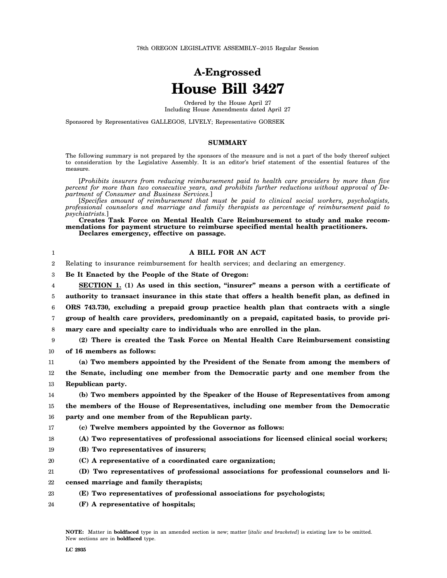## **A-Engrossed House Bill 3427**

Ordered by the House April 27 Including House Amendments dated April 27

Sponsored by Representatives GALLEGOS, LIVELY; Representative GORSEK

## **SUMMARY**

The following summary is not prepared by the sponsors of the measure and is not a part of the body thereof subject to consideration by the Legislative Assembly. It is an editor's brief statement of the essential features of the measure.

[*Prohibits insurers from reducing reimbursement paid to health care providers by more than five percent for more than two consecutive years, and prohibits further reductions without approval of Department of Consumer and Business Services.*]

[*Specifies amount of reimbursement that must be paid to clinical social workers, psychologists, professional counselors and marriage and family therapists as percentage of reimbursement paid to psychiatrists.*]

**Creates Task Force on Mental Health Care Reimbursement to study and make recommendations for payment structure to reimburse specified mental health practitioners. Declares emergency, effective on passage.**

| 1                | A BILL FOR AN ACT                                                                              |
|------------------|------------------------------------------------------------------------------------------------|
| $\boldsymbol{2}$ | Relating to insurance reimbursement for health services; and declaring an emergency.           |
| 3                | Be It Enacted by the People of the State of Oregon:                                            |
| 4                | SECTION 1. (1) As used in this section, "insurer" means a person with a certificate of         |
| 5                | authority to transact insurance in this state that offers a health benefit plan, as defined in |
| 6                | ORS 743.730, excluding a prepaid group practice health plan that contracts with a single       |
| 7                | group of health care providers, predominantly on a prepaid, capitated basis, to provide pri-   |
| 8                | mary care and specialty care to individuals who are enrolled in the plan.                      |
| 9                | (2) There is created the Task Force on Mental Health Care Reimbursement consisting             |
| 10               | of 16 members as follows:                                                                      |
| $11\,$           | (a) Two members appointed by the President of the Senate from among the members of             |
| 12               | the Senate, including one member from the Democratic party and one member from the             |
| 13               | Republican party.                                                                              |
| 14               | (b) Two members appointed by the Speaker of the House of Representatives from among            |
| 15               | the members of the House of Representatives, including one member from the Democratic          |
| 16               | party and one member from of the Republican party.                                             |
| 17               | (c) Twelve members appointed by the Governor as follows:                                       |
| 18               | (A) Two representatives of professional associations for licensed clinical social workers;     |
| 19               | (B) Two representatives of insurers;                                                           |
| 20               | (C) A representative of a coordinated care organization;                                       |
| 21               | (D) Two representatives of professional associations for professional counselors and li-       |
| 22               | censed marriage and family therapists;                                                         |
| 23               | (E) Two representatives of professional associations for psychologists;                        |
| 24               | (F) A representative of hospitals;                                                             |

**NOTE:** Matter in **boldfaced** type in an amended section is new; matter [*italic and bracketed*] is existing law to be omitted. New sections are in **boldfaced** type.